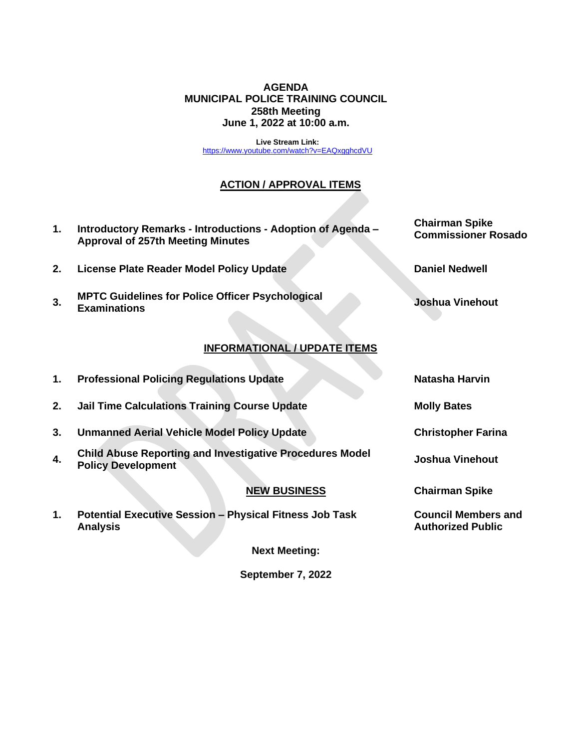### **AGENDA MUNICIPAL POLICE TRAINING COUNCIL 258th Meeting June 1, 2022 at 10:00 a.m.**

**Live Stream Link:** <https://www.youtube.com/watch?v=EAQxgghcdVU>

# **ACTION / APPROVAL ITEMS**

**1. Introductory Remarks - Introductions - Adoption of Agenda – Approval of 257th Meeting Minutes Chairman Spike Commissioner Rosado 2. License Plate Reader Model Policy Update Daniel Nedwell 3. MPTC Guidelines for Police Officer Psychological Examinations Joshua Vinehout INFORMATIONAL / UPDATE ITEMS 1. Professional Policing Regulations Update Natasha Harvin 2. Jail Time Calculations Training Course Update Molly Bates 3. Unmanned Aerial Vehicle Model Policy Update Christopher Farina 4. Child Abuse Reporting and Investigative Procedures Model Policy Development Joshua Vinehout Chairman Spike**

## **NEW BUSINESS**

**1. Potential Executive Session – Physical Fitness Job Task Analysis**

**Next Meeting:** 

**September 7, 2022**

**Council Members and Authorized Public**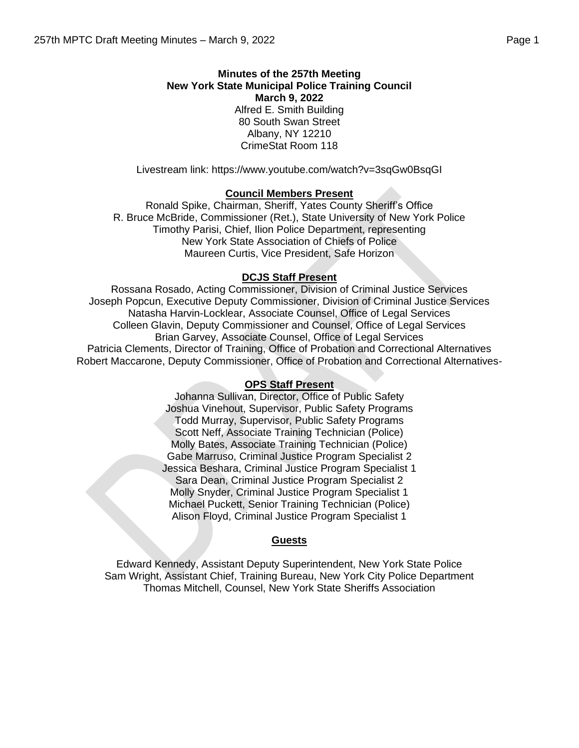Livestream link: https://www.youtube.com/watch?v=3sqGw0BsqGI

## **Council Members Present**

Ronald Spike, Chairman, Sheriff, Yates County Sheriff's Office R. Bruce McBride, Commissioner (Ret.), State University of New York Police Timothy Parisi, Chief, Ilion Police Department, representing New York State Association of Chiefs of Police Maureen Curtis, Vice President, Safe Horizon

### **DCJS Staff Present**

Rossana Rosado, Acting Commissioner, Division of Criminal Justice Services Joseph Popcun, Executive Deputy Commissioner, Division of Criminal Justice Services Natasha Harvin-Locklear, Associate Counsel, Office of Legal Services Colleen Glavin, Deputy Commissioner and Counsel, Office of Legal Services Brian Garvey, Associate Counsel, Office of Legal Services Patricia Clements, Director of Training, Office of Probation and Correctional Alternatives Robert Maccarone, Deputy Commissioner, Office of Probation and Correctional Alternatives-

## **OPS Staff Present**

Johanna Sullivan, Director, Office of Public Safety Joshua Vinehout, Supervisor, Public Safety Programs Todd Murray, Supervisor, Public Safety Programs Scott Neff, Associate Training Technician (Police) Molly Bates, Associate Training Technician (Police) Gabe Marruso, Criminal Justice Program Specialist 2 Jessica Beshara, Criminal Justice Program Specialist 1 Sara Dean, Criminal Justice Program Specialist 2 Molly Snyder, Criminal Justice Program Specialist 1 Michael Puckett, Senior Training Technician (Police) Alison Floyd, Criminal Justice Program Specialist 1

#### **Guests**

Edward Kennedy, Assistant Deputy Superintendent, New York State Police Sam Wright, Assistant Chief, Training Bureau, New York City Police Department Thomas Mitchell, Counsel, New York State Sheriffs Association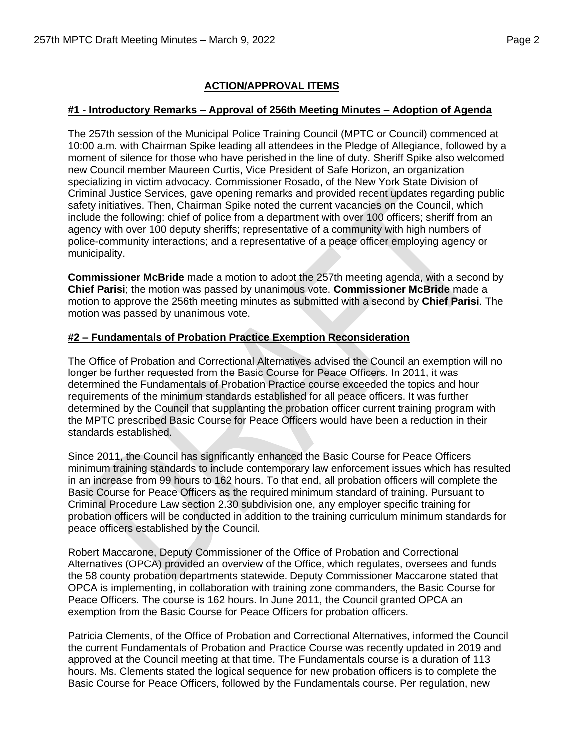## **ACTION/APPROVAL ITEMS**

### **#1 - Introductory Remarks – Approval of 256th Meeting Minutes – Adoption of Agenda**

The 257th session of the Municipal Police Training Council (MPTC or Council) commenced at 10:00 a.m. with Chairman Spike leading all attendees in the Pledge of Allegiance, followed by a moment of silence for those who have perished in the line of duty. Sheriff Spike also welcomed new Council member Maureen Curtis, Vice President of Safe Horizon, an organization specializing in victim advocacy. Commissioner Rosado, of the New York State Division of Criminal Justice Services, gave opening remarks and provided recent updates regarding public safety initiatives. Then, Chairman Spike noted the current vacancies on the Council, which include the following: chief of police from a department with over 100 officers; sheriff from an agency with over 100 deputy sheriffs; representative of a community with high numbers of police-community interactions; and a representative of a peace officer employing agency or municipality.

**Commissioner McBride** made a motion to adopt the 257th meeting agenda, with a second by **Chief Parisi**; the motion was passed by unanimous vote. **Commissioner McBride** made a motion to approve the 256th meeting minutes as submitted with a second by **Chief Parisi**. The motion was passed by unanimous vote.

## **#2 – Fundamentals of Probation Practice Exemption Reconsideration**

The Office of Probation and Correctional Alternatives advised the Council an exemption will no longer be further requested from the Basic Course for Peace Officers. In 2011, it was determined the Fundamentals of Probation Practice course exceeded the topics and hour requirements of the minimum standards established for all peace officers. It was further determined by the Council that supplanting the probation officer current training program with the MPTC prescribed Basic Course for Peace Officers would have been a reduction in their standards established.

Since 2011, the Council has significantly enhanced the Basic Course for Peace Officers minimum training standards to include contemporary law enforcement issues which has resulted in an increase from 99 hours to 162 hours. To that end, all probation officers will complete the Basic Course for Peace Officers as the required minimum standard of training. Pursuant to Criminal Procedure Law section 2.30 subdivision one, any employer specific training for probation officers will be conducted in addition to the training curriculum minimum standards for peace officers established by the Council.

Robert Maccarone, Deputy Commissioner of the Office of Probation and Correctional Alternatives (OPCA) provided an overview of the Office, which regulates, oversees and funds the 58 county probation departments statewide. Deputy Commissioner Maccarone stated that OPCA is implementing, in collaboration with training zone commanders, the Basic Course for Peace Officers. The course is 162 hours. In June 2011, the Council granted OPCA an exemption from the Basic Course for Peace Officers for probation officers.

Patricia Clements, of the Office of Probation and Correctional Alternatives, informed the Council the current Fundamentals of Probation and Practice Course was recently updated in 2019 and approved at the Council meeting at that time. The Fundamentals course is a duration of 113 hours. Ms. Clements stated the logical sequence for new probation officers is to complete the Basic Course for Peace Officers, followed by the Fundamentals course. Per regulation, new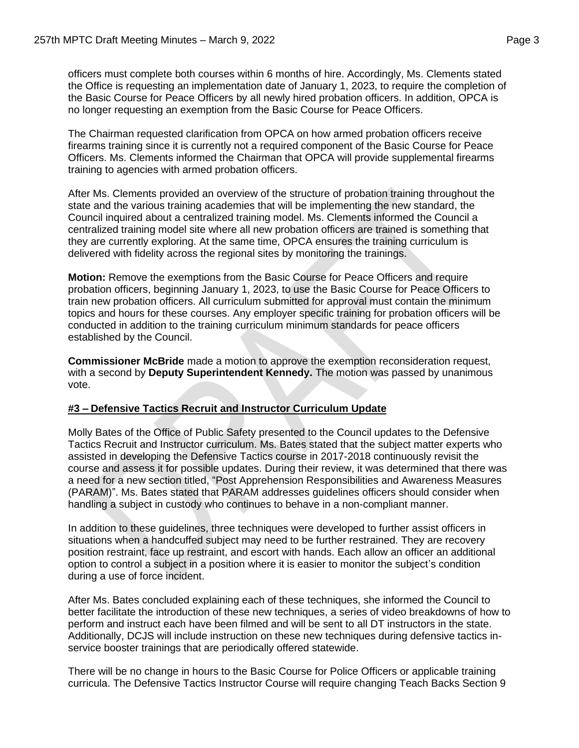officers must complete both courses within 6 months of hire. Accordingly, Ms. Clements stated the Office is requesting an implementation date of January 1, 2023, to require the completion of the Basic Course for Peace Officers by all newly hired probation officers. In addition, OPCA is no longer requesting an exemption from the Basic Course for Peace Officers.

The Chairman requested clarification from OPCA on how armed probation officers receive firearms training since it is currently not a required component of the Basic Course for Peace Officers. Ms. Clements informed the Chairman that OPCA will provide supplemental firearms training to agencies with armed probation officers.

After Ms. Clements provided an overview of the structure of probation training throughout the state and the various training academies that will be implementing the new standard, the Council inquired about a centralized training model. Ms. Clements informed the Council a centralized training model site where all new probation officers are trained is something that they are currently exploring. At the same time, OPCA ensures the training curriculum is delivered with fidelity across the regional sites by monitoring the trainings.

**Motion:** Remove the exemptions from the Basic Course for Peace Officers and require probation officers, beginning January 1, 2023, to use the Basic Course for Peace Officers to train new probation officers. All curriculum submitted for approval must contain the minimum topics and hours for these courses. Any employer specific training for probation officers will be conducted in addition to the training curriculum minimum standards for peace officers established by the Council.

**Commissioner McBride** made a motion to approve the exemption reconsideration request, with a second by **Deputy Superintendent Kennedy.** The motion was passed by unanimous vote.

## **#3 – Defensive Tactics Recruit and Instructor Curriculum Update**

Molly Bates of the Office of Public Safety presented to the Council updates to the Defensive Tactics Recruit and Instructor curriculum. Ms. Bates stated that the subject matter experts who assisted in developing the Defensive Tactics course in 2017-2018 continuously revisit the course and assess it for possible updates. During their review, it was determined that there was a need for a new section titled, "Post Apprehension Responsibilities and Awareness Measures (PARAM)". Ms. Bates stated that PARAM addresses guidelines officers should consider when handling a subject in custody who continues to behave in a non-compliant manner.

In addition to these guidelines, three techniques were developed to further assist officers in situations when a handcuffed subject may need to be further restrained. They are recovery position restraint, face up restraint, and escort with hands. Each allow an officer an additional option to control a subject in a position where it is easier to monitor the subject's condition during a use of force incident.

After Ms. Bates concluded explaining each of these techniques, she informed the Council to better facilitate the introduction of these new techniques, a series of video breakdowns of how to perform and instruct each have been filmed and will be sent to all DT instructors in the state. Additionally, DCJS will include instruction on these new techniques during defensive tactics inservice booster trainings that are periodically offered statewide.

There will be no change in hours to the Basic Course for Police Officers or applicable training curricula. The Defensive Tactics Instructor Course will require changing Teach Backs Section 9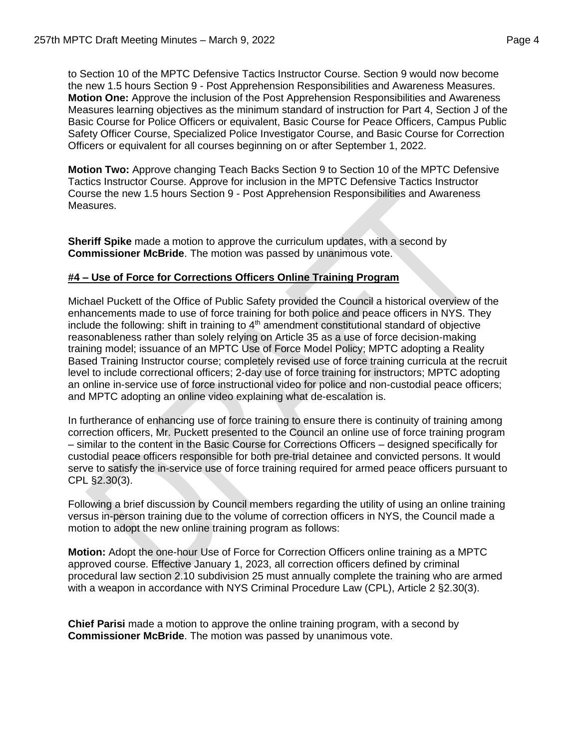to Section 10 of the MPTC Defensive Tactics Instructor Course. Section 9 would now become the new 1.5 hours Section 9 - Post Apprehension Responsibilities and Awareness Measures. **Motion One:** Approve the inclusion of the Post Apprehension Responsibilities and Awareness Measures learning objectives as the minimum standard of instruction for Part 4, Section J of the Basic Course for Police Officers or equivalent, Basic Course for Peace Officers, Campus Public Safety Officer Course, Specialized Police Investigator Course, and Basic Course for Correction Officers or equivalent for all courses beginning on or after September 1, 2022.

**Motion Two:** Approve changing Teach Backs Section 9 to Section 10 of the MPTC Defensive Tactics Instructor Course. Approve for inclusion in the MPTC Defensive Tactics Instructor Course the new 1.5 hours Section 9 - Post Apprehension Responsibilities and Awareness Measures.

**Sheriff Spike** made a motion to approve the curriculum updates, with a second by **Commissioner McBride**. The motion was passed by unanimous vote.

## **#4 – Use of Force for Corrections Officers Online Training Program**

Michael Puckett of the Office of Public Safety provided the Council a historical overview of the enhancements made to use of force training for both police and peace officers in NYS. They include the following: shift in training to  $4<sup>th</sup>$  amendment constitutional standard of objective reasonableness rather than solely relying on Article 35 as a use of force decision-making training model; issuance of an MPTC Use of Force Model Policy; MPTC adopting a Reality Based Training Instructor course; completely revised use of force training curricula at the recruit level to include correctional officers; 2-day use of force training for instructors; MPTC adopting an online in-service use of force instructional video for police and non-custodial peace officers; and MPTC adopting an online video explaining what de-escalation is.

In furtherance of enhancing use of force training to ensure there is continuity of training among correction officers, Mr. Puckett presented to the Council an online use of force training program – similar to the content in the Basic Course for Corrections Officers – designed specifically for custodial peace officers responsible for both pre-trial detainee and convicted persons. It would serve to satisfy the in-service use of force training required for armed peace officers pursuant to CPL §2.30(3).

Following a brief discussion by Council members regarding the utility of using an online training versus in-person training due to the volume of correction officers in NYS, the Council made a motion to adopt the new online training program as follows:

**Motion:** Adopt the one-hour Use of Force for Correction Officers online training as a MPTC approved course. Effective January 1, 2023, all correction officers defined by criminal procedural law section 2.10 subdivision 25 must annually complete the training who are armed with a weapon in accordance with NYS Criminal Procedure Law (CPL), Article 2 §2.30(3).

**Chief Parisi** made a motion to approve the online training program, with a second by **Commissioner McBride**. The motion was passed by unanimous vote.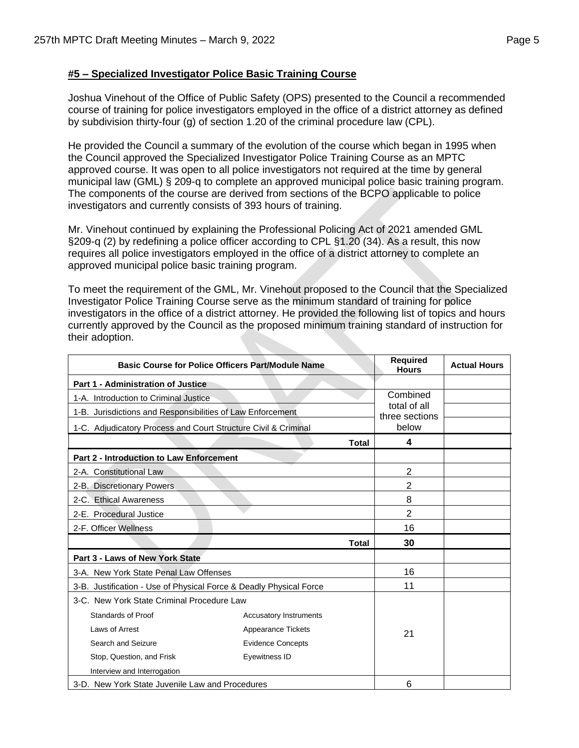## **#5 – Specialized Investigator Police Basic Training Course**

Joshua Vinehout of the Office of Public Safety (OPS) presented to the Council a recommended course of training for police investigators employed in the office of a district attorney as defined by subdivision thirty-four (g) of section 1.20 of the criminal procedure law (CPL).

He provided the Council a summary of the evolution of the course which began in 1995 when the Council approved the Specialized Investigator Police Training Course as an MPTC approved course. It was open to all police investigators not required at the time by general municipal law (GML) § 209-q to complete an approved municipal police basic training program. The components of the course are derived from sections of the BCPO applicable to police investigators and currently consists of 393 hours of training.

Mr. Vinehout continued by explaining the Professional Policing Act of 2021 amended GML §209-q (2) by redefining a police officer according to CPL §1.20 (34). As a result, this now requires all police investigators employed in the office of a district attorney to complete an approved municipal police basic training program.

To meet the requirement of the GML, Mr. Vinehout proposed to the Council that the Specialized Investigator Police Training Course serve as the minimum standard of training for police investigators in the office of a district attorney. He provided the following list of topics and hours currently approved by the Council as the proposed minimum training standard of instruction for their adoption.

| <b>Basic Course for Police Officers Part/Module Name</b>           |                               | <b>Required</b><br><b>Hours</b> | <b>Actual Hours</b> |
|--------------------------------------------------------------------|-------------------------------|---------------------------------|---------------------|
| Part 1 - Administration of Justice                                 |                               |                                 |                     |
| 1-A. Introduction to Criminal Justice                              |                               | Combined                        |                     |
| 1-B. Jurisdictions and Responsibilities of Law Enforcement         |                               | total of all<br>three sections  |                     |
| 1-C. Adjudicatory Process and Court Structure Civil & Criminal     |                               | below                           |                     |
|                                                                    | <b>Total</b>                  | 4                               |                     |
| <b>Part 2 - Introduction to Law Enforcement</b>                    |                               |                                 |                     |
| 2-A. Constitutional Law                                            |                               | $\overline{2}$                  |                     |
| 2-B. Discretionary Powers                                          |                               | 2                               |                     |
| 2-C. Ethical Awareness                                             |                               | 8                               |                     |
| 2-E. Procedural Justice                                            |                               | 2                               |                     |
| 2-F. Officer Wellness                                              |                               | 16                              |                     |
|                                                                    | Total                         | 30                              |                     |
| Part 3 - Laws of New York State                                    |                               |                                 |                     |
| 3-A. New York State Penal Law Offenses                             |                               | 16                              |                     |
| 3-B. Justification - Use of Physical Force & Deadly Physical Force |                               | 11                              |                     |
| 3-C. New York State Criminal Procedure Law                         |                               |                                 |                     |
| Standards of Proof                                                 | <b>Accusatory Instruments</b> |                                 |                     |
| Laws of Arrest                                                     | Appearance Tickets            | 21                              |                     |
| Search and Seizure                                                 | <b>Evidence Concepts</b>      |                                 |                     |
| Stop, Question, and Frisk                                          | Eyewitness ID                 |                                 |                     |
| Interview and Interrogation                                        |                               |                                 |                     |
| 3-D. New York State Juvenile Law and Procedures                    |                               | 6                               |                     |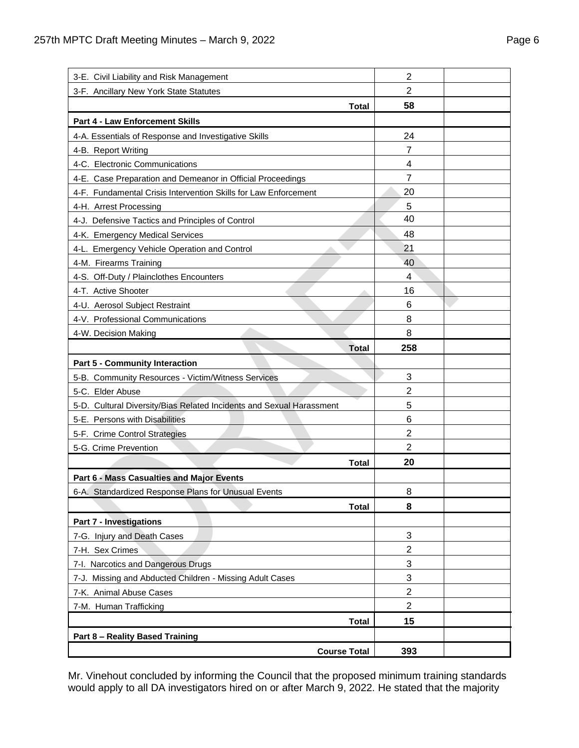| 3-E. Civil Liability and Risk Management                             | $\overline{2}$ |  |
|----------------------------------------------------------------------|----------------|--|
| 3-F. Ancillary New York State Statutes                               | 2              |  |
| Total                                                                | 58             |  |
| Part 4 - Law Enforcement Skills                                      |                |  |
| 4-A. Essentials of Response and Investigative Skills                 | 24             |  |
| 4-B. Report Writing                                                  | 7              |  |
| 4-C. Electronic Communications                                       | 4              |  |
| 4-E. Case Preparation and Demeanor in Official Proceedings           | 7              |  |
| 4-F. Fundamental Crisis Intervention Skills for Law Enforcement      | 20             |  |
| 4-H. Arrest Processing                                               | 5              |  |
| 4-J. Defensive Tactics and Principles of Control                     | 40             |  |
| 4-K. Emergency Medical Services                                      | 48             |  |
| 4-L. Emergency Vehicle Operation and Control                         | 21             |  |
| 4-M. Firearms Training                                               | 40             |  |
| 4-S. Off-Duty / Plainclothes Encounters                              | 4              |  |
| 4-T. Active Shooter                                                  | 16             |  |
| 4-U. Aerosol Subject Restraint                                       | 6              |  |
| 4-V. Professional Communications                                     | 8              |  |
| 4-W. Decision Making                                                 | 8              |  |
| <b>Total</b>                                                         | 258            |  |
|                                                                      |                |  |
| <b>Part 5 - Community Interaction</b>                                |                |  |
| 5-B. Community Resources - Victim/Witness Services                   | 3              |  |
| 5-C. Elder Abuse                                                     | 2              |  |
| 5-D. Cultural Diversity/Bias Related Incidents and Sexual Harassment | 5              |  |
| 5-E. Persons with Disabilities                                       | 6              |  |
| 5-F. Crime Control Strategies                                        | $\overline{2}$ |  |
| 5-G. Crime Prevention                                                | $\overline{2}$ |  |
| <b>Total</b>                                                         | 20             |  |
| Part 6 - Mass Casualties and Major Events                            |                |  |
| 6-A. Standardized Response Plans for Unusual Events                  | 8              |  |
| <b>Total</b>                                                         | 8              |  |
| <b>Part 7 - Investigations</b>                                       |                |  |
| 7-G. Injury and Death Cases                                          | 3              |  |
| 7-H. Sex Crimes                                                      | $\overline{2}$ |  |
| 7-I. Narcotics and Dangerous Drugs                                   | 3              |  |
| 7-J. Missing and Abducted Children - Missing Adult Cases             | 3              |  |
| 7-K. Animal Abuse Cases                                              | $\mathbf{2}$   |  |
| 7-M. Human Trafficking                                               | $\overline{2}$ |  |
| <b>Total</b>                                                         | 15             |  |
| Part 8 - Reality Based Training                                      |                |  |

Mr. Vinehout concluded by informing the Council that the proposed minimum training standards would apply to all DA investigators hired on or after March 9, 2022. He stated that the majority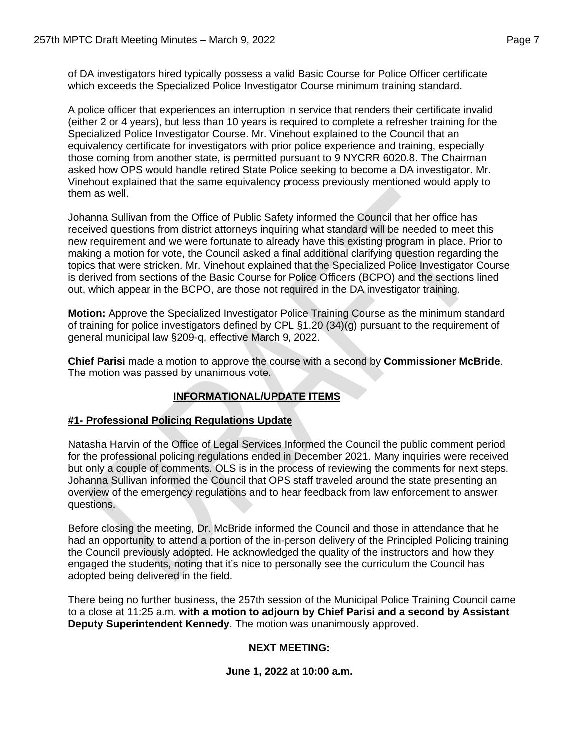of DA investigators hired typically possess a valid Basic Course for Police Officer certificate which exceeds the Specialized Police Investigator Course minimum training standard.

A police officer that experiences an interruption in service that renders their certificate invalid (either 2 or 4 years), but less than 10 years is required to complete a refresher training for the Specialized Police Investigator Course. Mr. Vinehout explained to the Council that an equivalency certificate for investigators with prior police experience and training, especially those coming from another state, is permitted pursuant to 9 NYCRR 6020.8. The Chairman asked how OPS would handle retired State Police seeking to become a DA investigator. Mr. Vinehout explained that the same equivalency process previously mentioned would apply to them as well.

Johanna Sullivan from the Office of Public Safety informed the Council that her office has received questions from district attorneys inquiring what standard will be needed to meet this new requirement and we were fortunate to already have this existing program in place. Prior to making a motion for vote, the Council asked a final additional clarifying question regarding the topics that were stricken. Mr. Vinehout explained that the Specialized Police Investigator Course is derived from sections of the Basic Course for Police Officers (BCPO) and the sections lined out, which appear in the BCPO, are those not required in the DA investigator training.

**Motion:** Approve the Specialized Investigator Police Training Course as the minimum standard of training for police investigators defined by CPL §1.20 (34)(g) pursuant to the requirement of general municipal law §209-q, effective March 9, 2022.

**Chief Parisi** made a motion to approve the course with a second by **Commissioner McBride**. The motion was passed by unanimous vote.

# **INFORMATIONAL/UPDATE ITEMS**

## **#1- Professional Policing Regulations Update**

Natasha Harvin of the Office of Legal Services Informed the Council the public comment period for the professional policing regulations ended in December 2021. Many inquiries were received but only a couple of comments. OLS is in the process of reviewing the comments for next steps. Johanna Sullivan informed the Council that OPS staff traveled around the state presenting an overview of the emergency regulations and to hear feedback from law enforcement to answer questions.

Before closing the meeting, Dr. McBride informed the Council and those in attendance that he had an opportunity to attend a portion of the in-person delivery of the Principled Policing training the Council previously adopted. He acknowledged the quality of the instructors and how they engaged the students, noting that it's nice to personally see the curriculum the Council has adopted being delivered in the field.

There being no further business, the 257th session of the Municipal Police Training Council came to a close at 11:25 a.m. **with a motion to adjourn by Chief Parisi and a second by Assistant Deputy Superintendent Kennedy**. The motion was unanimously approved.

## **NEXT MEETING:**

## **June 1, 2022 at 10:00 a.m.**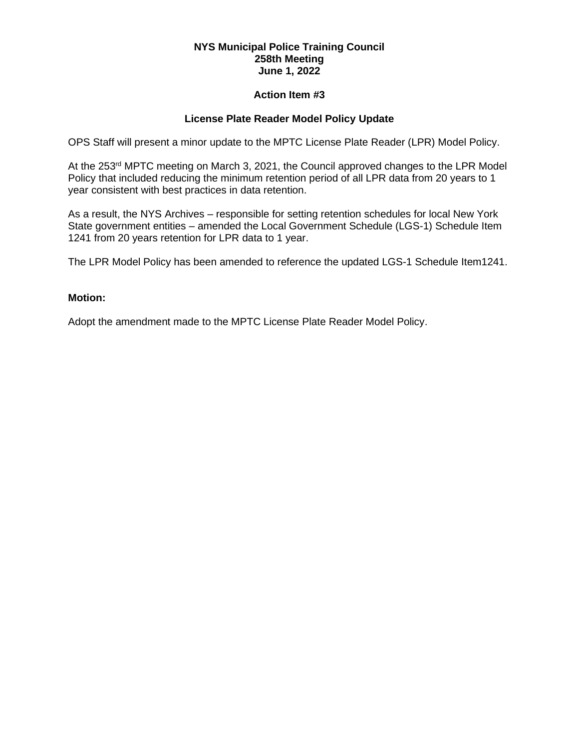#### **Action Item #3**

## **License Plate Reader Model Policy Update**

OPS Staff will present a minor update to the MPTC License Plate Reader (LPR) Model Policy.

At the 253<sup>rd</sup> MPTC meeting on March 3, 2021, the Council approved changes to the LPR Model Policy that included reducing the minimum retention period of all LPR data from 20 years to 1 year consistent with best practices in data retention.

As a result, the NYS Archives – responsible for setting retention schedules for local New York State government entities – amended the Local Government Schedule (LGS-1) Schedule Item 1241 from 20 years retention for LPR data to 1 year.

The LPR Model Policy has been amended to reference the updated LGS-1 Schedule Item1241.

### **Motion:**

Adopt the amendment made to the MPTC License Plate Reader Model Policy.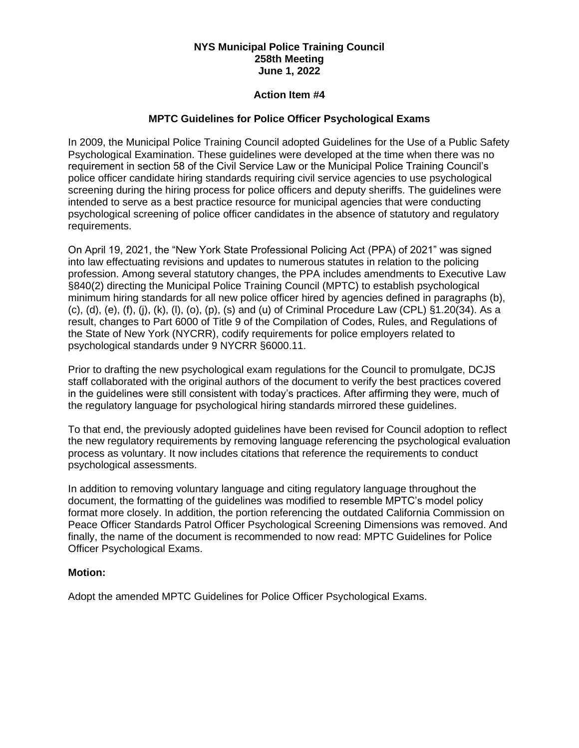#### **Action Item #4**

### **MPTC Guidelines for Police Officer Psychological Exams**

In 2009, the Municipal Police Training Council adopted Guidelines for the Use of a Public Safety Psychological Examination. These guidelines were developed at the time when there was no requirement in section 58 of the Civil Service Law or the Municipal Police Training Council's police officer candidate hiring standards requiring civil service agencies to use psychological screening during the hiring process for police officers and deputy sheriffs. The guidelines were intended to serve as a best practice resource for municipal agencies that were conducting psychological screening of police officer candidates in the absence of statutory and regulatory requirements.

On April 19, 2021, the "New York State Professional Policing Act (PPA) of 2021" was signed into law effectuating revisions and updates to numerous statutes in relation to the policing profession. Among several statutory changes, the PPA includes amendments to Executive Law §840(2) directing the Municipal Police Training Council (MPTC) to establish psychological minimum hiring standards for all new police officer hired by agencies defined in paragraphs (b), (c), (d), (e), (f), (j), (k), (l), (o), (p), (s) and (u) of Criminal Procedure Law (CPL) §1.20(34). As a result, changes to Part 6000 of Title 9 of the Compilation of Codes, Rules, and Regulations of the State of New York (NYCRR), codify requirements for police employers related to psychological standards under 9 NYCRR §6000.11.

Prior to drafting the new psychological exam regulations for the Council to promulgate, DCJS staff collaborated with the original authors of the document to verify the best practices covered in the guidelines were still consistent with today's practices. After affirming they were, much of the regulatory language for psychological hiring standards mirrored these guidelines.

To that end, the previously adopted guidelines have been revised for Council adoption to reflect the new regulatory requirements by removing language referencing the psychological evaluation process as voluntary. It now includes citations that reference the requirements to conduct psychological assessments.

In addition to removing voluntary language and citing regulatory language throughout the document, the formatting of the guidelines was modified to resemble MPTC's model policy format more closely. In addition, the portion referencing the outdated California Commission on Peace Officer Standards Patrol Officer Psychological Screening Dimensions was removed. And finally, the name of the document is recommended to now read: MPTC Guidelines for Police Officer Psychological Exams.

#### **Motion:**

Adopt the amended MPTC Guidelines for Police Officer Psychological Exams.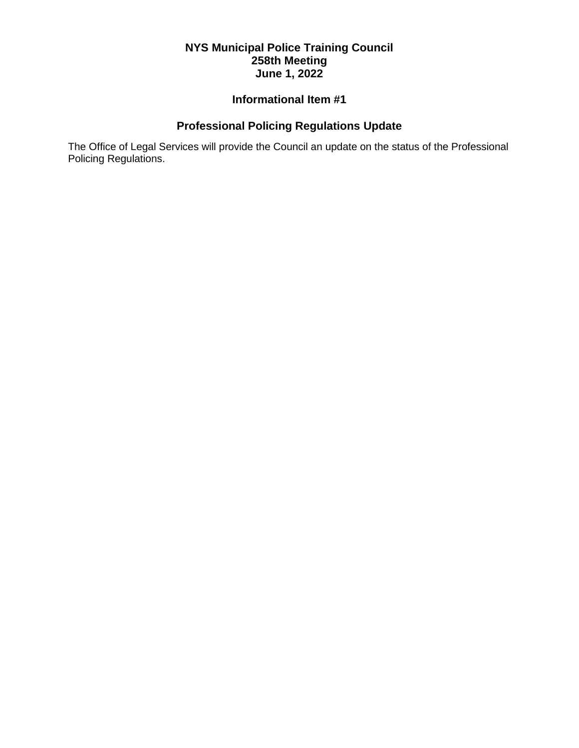# **Informational Item #1**

# **Professional Policing Regulations Update**

The Office of Legal Services will provide the Council an update on the status of the Professional Policing Regulations.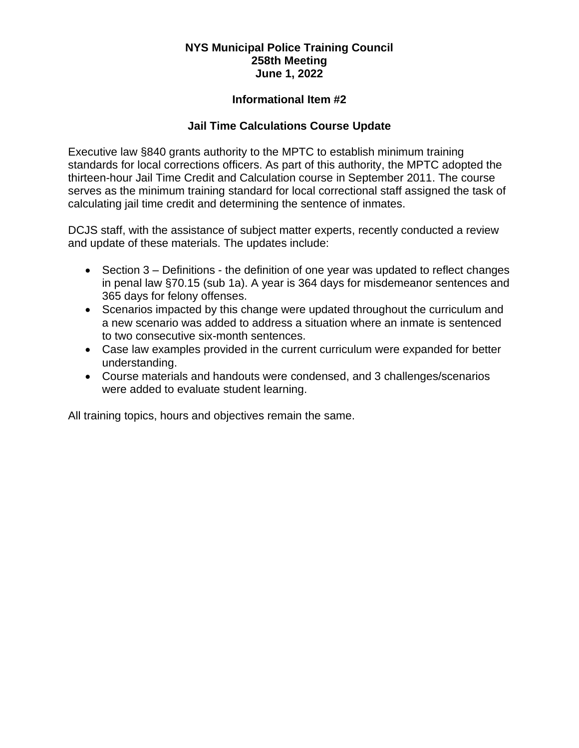# **Informational Item #2**

# **Jail Time Calculations Course Update**

Executive law §840 grants authority to the MPTC to establish minimum training standards for local corrections officers. As part of this authority, the MPTC adopted the thirteen-hour Jail Time Credit and Calculation course in September 2011. The course serves as the minimum training standard for local correctional staff assigned the task of calculating jail time credit and determining the sentence of inmates.

DCJS staff, with the assistance of subject matter experts, recently conducted a review and update of these materials. The updates include:

- Section 3 Definitions the definition of one year was updated to reflect changes in penal law §70.15 (sub 1a). A year is 364 days for misdemeanor sentences and 365 days for felony offenses.
- Scenarios impacted by this change were updated throughout the curriculum and a new scenario was added to address a situation where an inmate is sentenced to two consecutive six-month sentences.
- Case law examples provided in the current curriculum were expanded for better understanding.
- Course materials and handouts were condensed, and 3 challenges/scenarios were added to evaluate student learning.

All training topics, hours and objectives remain the same.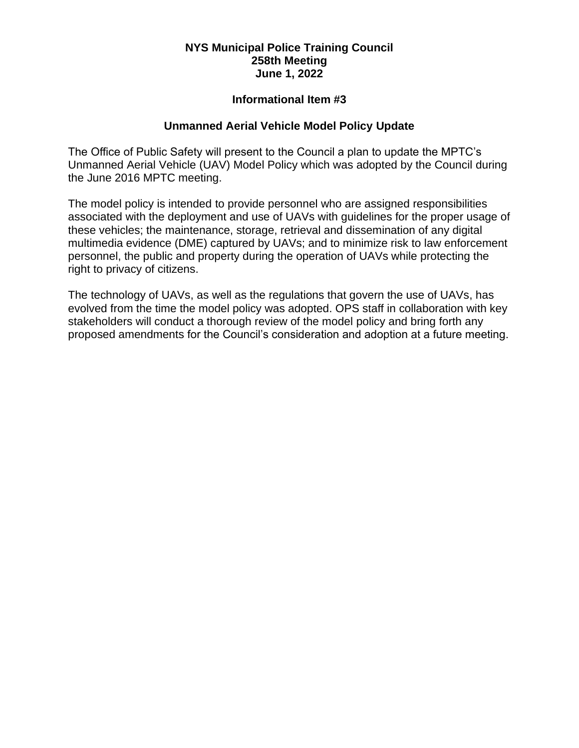# **Informational Item #3**

## **Unmanned Aerial Vehicle Model Policy Update**

The Office of Public Safety will present to the Council a plan to update the MPTC's Unmanned Aerial Vehicle (UAV) Model Policy which was adopted by the Council during the June 2016 MPTC meeting.

The model policy is intended to provide personnel who are assigned responsibilities associated with the deployment and use of UAVs with guidelines for the proper usage of these vehicles; the maintenance, storage, retrieval and dissemination of any digital multimedia evidence (DME) captured by UAVs; and to minimize risk to law enforcement personnel, the public and property during the operation of UAVs while protecting the right to privacy of citizens.

The technology of UAVs, as well as the regulations that govern the use of UAVs, has evolved from the time the model policy was adopted. OPS staff in collaboration with key stakeholders will conduct a thorough review of the model policy and bring forth any proposed amendments for the Council's consideration and adoption at a future meeting.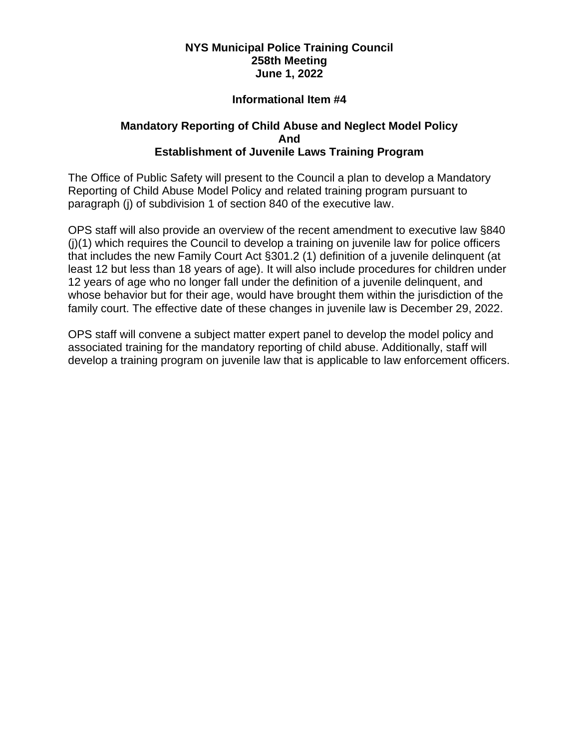# **Informational Item #4**

## **Mandatory Reporting of Child Abuse and Neglect Model Policy And Establishment of Juvenile Laws Training Program**

The Office of Public Safety will present to the Council a plan to develop a Mandatory Reporting of Child Abuse Model Policy and related training program pursuant to paragraph (j) of subdivision 1 of section 840 of the executive law.

OPS staff will also provide an overview of the recent amendment to executive law §840 (j)(1) which requires the Council to develop a training on juvenile law for police officers that includes the new Family Court Act §301.2 (1) definition of a juvenile delinquent (at least 12 but less than 18 years of age). It will also include procedures for children under 12 years of age who no longer fall under the definition of a juvenile delinquent, and whose behavior but for their age, would have brought them within the jurisdiction of the family court. The effective date of these changes in juvenile law is December 29, 2022.

OPS staff will convene a subject matter expert panel to develop the model policy and associated training for the mandatory reporting of child abuse. Additionally, staff will develop a training program on juvenile law that is applicable to law enforcement officers.